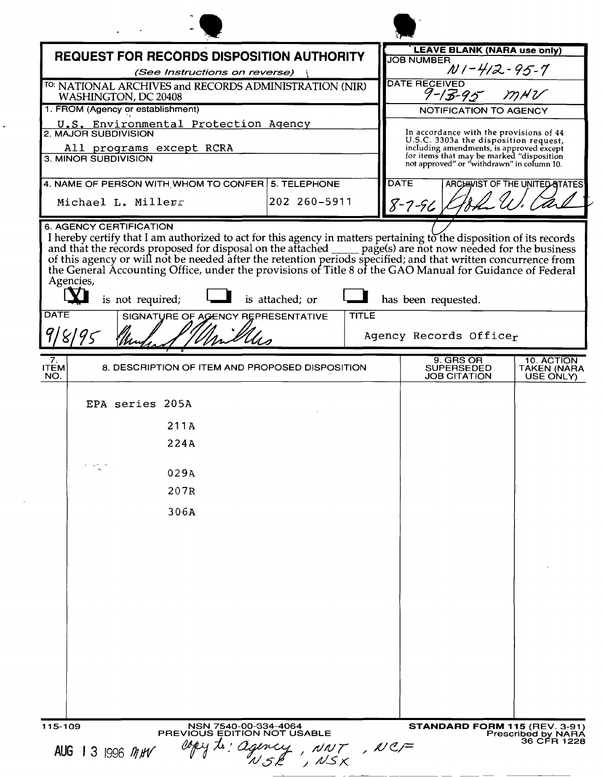|                                    | <b>REQUEST FOR RECORDS DISPOSITION AUTHORITY</b>                               |                 |              | <b>LEAVE BLANK (NARA use only)</b>                                                                                                  |                                        |
|------------------------------------|--------------------------------------------------------------------------------|-----------------|--------------|-------------------------------------------------------------------------------------------------------------------------------------|----------------------------------------|
|                                    | (See Instructions on reverse)                                                  |                 |              | <b>JOB NUMBER</b>                                                                                                                   | $W1 - 412 - 95 - 7$                    |
|                                    | TO: NATIONAL ARCHIVES and RECORDS ADMINISTRATION (NIR)<br>WASHINGTON, DC 20408 |                 |              | <b>DATE RECEIVED</b><br>$9 - 13 - 95$ MNV                                                                                           |                                        |
|                                    | 1. FROM (Agency or establishment)                                              |                 |              | <b>NOTIFICATION TO AGENCY</b>                                                                                                       |                                        |
|                                    | U.S. Environmental Protection Agency<br>2. MAJOR SUBDIVISION                   |                 |              | In accordance with the provisions of 44<br>U.S.C. 3303a the disposition request,                                                    |                                        |
|                                    | All programs except RCRA<br>3. MINOR SUBDIVISION                               |                 |              | including amendments, is approved except<br>for items that may be marked "disposition<br>not approved" or "withdrawn" in column 10. |                                        |
|                                    | 4. NAME OF PERSON WITH WHOM TO CONFER 5. TELEPHONE                             |                 |              | <b>DATE</b>                                                                                                                         | ARCHIVIST OF THE UNITED STATES         |
|                                    | Michael L. Millerr                                                             | 202 260-5911    |              | $8 - 7 - 96$                                                                                                                        |                                        |
| Agencies,<br><b>DATE</b><br>918195 | is not required;<br>SIGNATURE OF AGENCY REPRESENTATIVE                         | is attached; or | <b>TITLE</b> | has been requested.<br>Agency Records Officer                                                                                       |                                        |
|                                    |                                                                                |                 |              |                                                                                                                                     |                                        |
| 7.<br><b>ITEM</b><br>NO.           | 8. DESCRIPTION OF ITEM AND PROPOSED DISPOSITION                                |                 |              | 9. GRS OR<br><b>SUPERSEDED</b><br><b>JOB CITATION</b>                                                                               | 10. ACTION<br>TAKEN (NARA<br>USE ONLY) |
|                                    | EPA series 205A                                                                |                 |              |                                                                                                                                     |                                        |
|                                    | 211A                                                                           |                 |              |                                                                                                                                     |                                        |
|                                    | 224A                                                                           |                 |              |                                                                                                                                     |                                        |
|                                    | 029A                                                                           |                 |              |                                                                                                                                     |                                        |
|                                    | 207R                                                                           |                 |              |                                                                                                                                     |                                        |
|                                    |                                                                                |                 |              |                                                                                                                                     |                                        |
|                                    | 306A                                                                           |                 |              |                                                                                                                                     |                                        |
|                                    |                                                                                |                 |              |                                                                                                                                     |                                        |
|                                    |                                                                                |                 |              |                                                                                                                                     |                                        |
|                                    |                                                                                |                 |              |                                                                                                                                     |                                        |
|                                    |                                                                                |                 |              |                                                                                                                                     |                                        |
|                                    |                                                                                |                 |              |                                                                                                                                     |                                        |
|                                    |                                                                                |                 |              |                                                                                                                                     |                                        |
|                                    |                                                                                |                 |              |                                                                                                                                     |                                        |
|                                    |                                                                                |                 |              |                                                                                                                                     |                                        |
|                                    |                                                                                |                 |              |                                                                                                                                     |                                        |
|                                    |                                                                                |                 |              |                                                                                                                                     |                                        |
|                                    |                                                                                |                 |              |                                                                                                                                     |                                        |
|                                    |                                                                                |                 |              |                                                                                                                                     | STANDARD FORM 115 (REV. 3-91)          |

 $\mathbf{v}$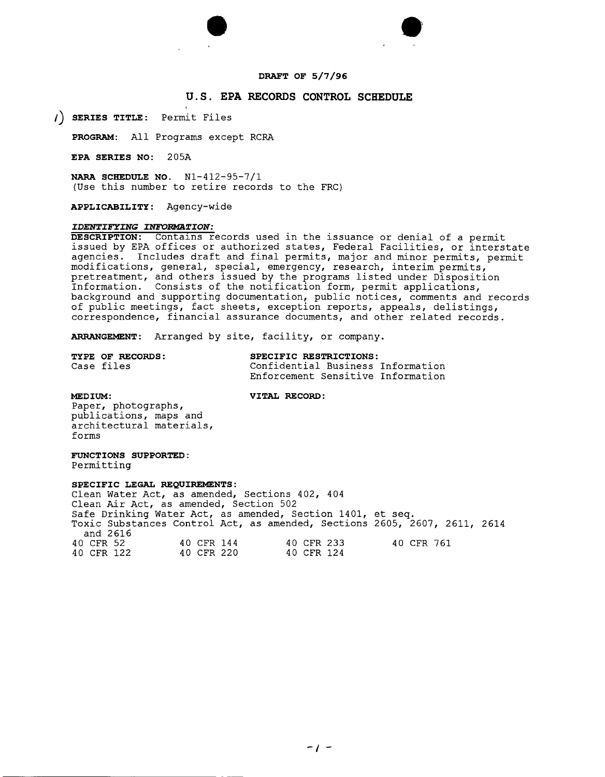# **DRAFT OF 5/7/96**

# **U.S. EPA RECORDS CONTROL SCHEDULE**

**SERIES TITLE:** Permit Files

PROGRAM: All Programs except RCRA

**EPA SERIES NO:** 205A

**NARA SCHEDULE NO.** Nl-412-95-7/1 (Use this number to retire records to the FRC)

•

**APPLICABILITY:** Agency-wide

# *IDENTIFYING INFORMATION:*

**DESCRIPTION:** Contalns records used in the issuance or denial of a permit issued by EPA offices or authorized states, Federal Facilities, or interstate agencies. Includes draft and final permits, major and minor permits, permit modifications, general, special, emergency, research, interim permits, pretreatment, and others issued by the programs listed under Disposition Information. Consists of the notification form, permit applications, background and supporting documentation, public notices, comments and records of public meetings, fact sheets, exception reports, appeals, delistings, correspondence, financial assurance documents, and other related records.

**ARRANGEMENT:** Arranged by site, facility, or company.

| TYPE OF RECORDS: | SPECIFIC RESTRICTIONS:            |  |
|------------------|-----------------------------------|--|
| Case files       | Confidential Business Information |  |
|                  | Enforcement Sensitive Information |  |

**MEDIUM: VITAL RECORD:** 

Paper, photographs, publications, maps and architectural materials, forms

**FUNCTIONS SUPPORTED:** Permitting

**SPECIFIC LEGAL REQUIREMENTS:** Clean Water Act, as amended, Sections 402, 404 Clean Air Act, as amended, Section 502 Safe Drinking Water Act, as amended, Section 1401, et seq. Toxic Substances Control Act, as amended, Sections 2605, 2607, 2611, 2614 and 2616 40 CFR 52 40 CFR 144 40 CFR 233 40 CFR 761 40 CFR 122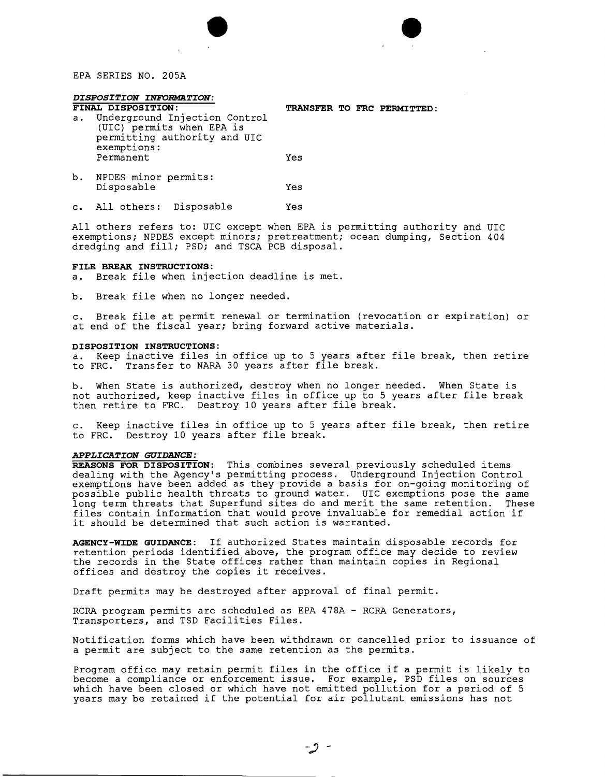EPA SERIES NO. 205A

# *DISPOSITION INFORMATION:*<br>FINAL DISPOSITION:

- **FINAL DISPOSITION: TRANSFER TO FRC PERMITTED:** a. Underground Injection Control (UIC) permits when EPA is permitting authority and UIC exemptions: Permanent Yes
- b. NPDES minor permits: Disposable Yes
- c. All others: Disposable Yes

All others refers to: UIC except when EPA is permitting authority and UIC exemptions; NPDES except minors; pretreatment; ocean dumping, Section 404 dredging and fill; PSD; and TSCA PCB disposal.

 $\bullet$ 

#### **FILE BREAK INSTRUCTIONS:**

- a. Break file when injection deadline is met.
- b. Break file when no longer needed.

c. Break file at permit renewal or termination (revocation or expiration) or at end of the fiscal year; bring forward active materials.

#### **DISPOSITION INSTRUCTIONS:**

a. Keep inactive files in office up to 5 years after file break, then retire to FRC. Transfer to NARA 30 years after file break.

b. When State is authorized, destroy when no longer needed. When State is not authorized, keep inactive files in office up to 5 years after file break then retire to FRC. Destroy 10 years after file break.

c. Keep inactive files in office up to 5 years after file break, then retire to FRC. Destroy 10 years after file break.

# *APPLICATION GUIDANCE:*

**REASONS FOR DISPOSITION:** This combines several previously scheduled items dealing with the Agency's permitting process. Underground Injection Control exemptions have been added as they provide a basis for on-going monitoring of possible public health threats to ground water. UIC exemptions pose the same long term threats that Superfund sites do and merit the same retention. These files contain information that would prove invaluable for remedial action if it should be determined that such action is warranted.

**AGENCY-WIDE GUIDANCE:** If authorized States maintain disposable records for retention periods identified above, the program office may decide to review the records in the State offices rather than maintain copies in Regional offices and destroy the copies it receives.

Draft permits may be destroyed after approval of final permit.

RCRA program permits are scheduled as EPA 478A - RCRA Generators, Transporters, and TSD Facilities Files.

Notification forms which have been withdrawn or cancelled prior to issuance of a permit are subject to the same retention as the permits.

Program office may retain permit files in the office if a permit is likely to become a compliance or enforcement issue. For example, PSD files on sources which have been closed or which have not emitted pollution for a period of 5 years may be retained if the potential for air pollutant emissions has not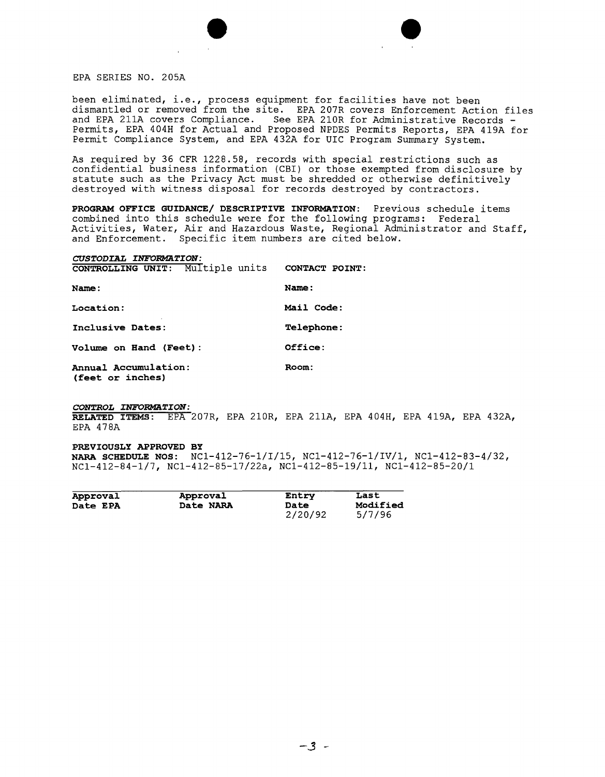



EPA SERIES NO. 205A

been eliminated, i.e., process equipment for facilities have not been dismantled or removed from the site. EPA 207R covers Enforcement Action files and EPA 211A covers Compliance. See EPA 210R for Administrative Records - Permits, EPA 404H for Actual and Proposed NPDES Permits Reports, EPA 419A for Permit Compliance System, and EPA 432A for UIC Program Summary System.

As required by 36 CFR 1228.58, records with special restrictions such as confidential business information (CBI) or those exempted from disclosure by statute such as the Privacy Act must be shredded or otherwise definitively destroyed with witness disposal for records destroyed by contractors.

**PROGRAM OFFICE GUIDANCE/ DESCRIPTIVE INFORMATION:** Previous schedule items combined into this schedule were for the following programs: Federal Activities, Water, Air and Hazardous Waste, Regional Administrator and Staff, and Enforcement. Specific item numbers are cited below.

# *CUSTODIAL INFORMATION:*

| <b>CONTROLLING UNIT:</b>                 | Multiple units CONTACT POINT: |                   |  |
|------------------------------------------|-------------------------------|-------------------|--|
| Name:                                    |                               | Name:             |  |
| Location:                                |                               | Mail Code:        |  |
| Inclusive Dates:                         |                               | <b>Telephone:</b> |  |
| Volume on Hand (Feet):                   |                               | Office:           |  |
| Annual Accumulation:<br>(feet or inches) |                               | Room:             |  |

#### *CONTROL INFORMATION:*

**RELATED ITEMS:** EPA 207R, EPA 210R, EPA 211A, EPA 404H, EPA 419A, EPA 432A, EPA 478A

#### **PREVIOUSLY APPROVED BY**

**NARA SCHEDULE NOS:** NCl-412-76-1/I/15, NCl-412-76-1/IV/1, NCl-412-83-4/32, NCl-412-84-1/7, NCl-412-85-17/22a, NCl-412-85-19/11, NCl-412-85-20/1

|                 |                  | Entry   | Last     |
|-----------------|------------------|---------|----------|
| Approval        | Approval         |         |          |
| <b>Date EPA</b> | <b>Date NARA</b> | Date    | Modified |
|                 |                  | 2/20/92 | 5/7/96   |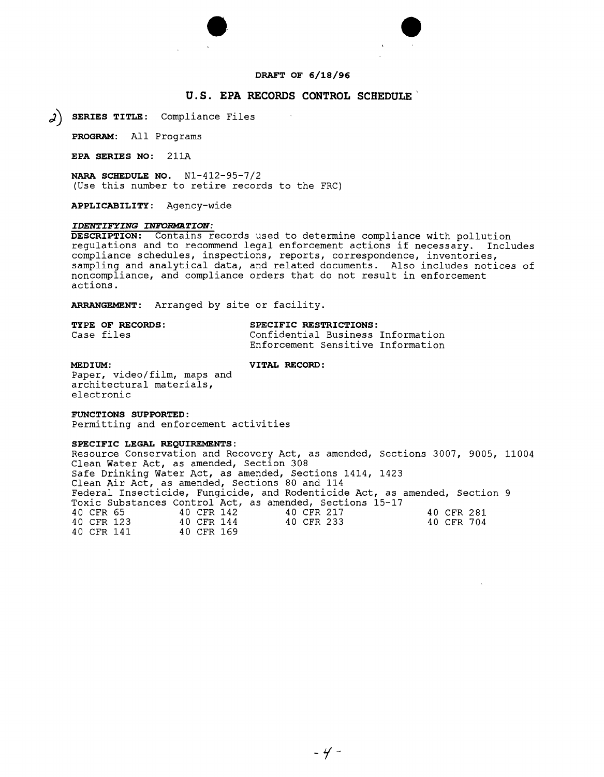



#### **DRAFT OF 6/18/96**

# **u.s. EPA RECORDS CONTROL SCHEDULE'**

*J)* **SERIES TITLE:** Compliance Files

**PROGRAM:** All Programs

**EPA SERIES NO:** 211A

**NARA SCHEDULE NO.** Nl-412-95-7/2 (Use this number to retire records to the FRC)

**APPLICABILITY:** Agency-wide

# *IDENTIFYING INFORMATION:*

**DESCRIPTION:** Contalns records used to determine compliance with pollution regulations and to recommend legal enforcement actions if necessary. Includes compliance schedules, inspections, reports, correspondence, inventories, sampling and analytical data, and related documents. Also includes notices of noncompliance, and compliance orders that do not result in enforcement actions.

**ARRANGEMENT:** Arranged by site or facility.

| <b>TYPE OF RECORDS:</b> | SPECIFIC RESTRICTIONS:            |  |
|-------------------------|-----------------------------------|--|
| Case files              | Confidential Business Information |  |
|                         | Enforcement Sensitive Information |  |

**MEDIUM: VITAL RECORD:** 

Paper, video/film, maps and architectural materials, electronic

#### **FUNCTIONS SUPPORTED:**

Permitting and enforcement activities

#### **SPECIFIC LEGAL REQUIREMENTS:**

Resource Conservation and Recovery Act, as amended, Sections 3007, 9005, 11004 Clean Water Act, as amended, Section 308 Safe Drinking Water Act, as amended, Sections 1414, 1423 Clean Air Act, as amended, Sections 80 and 114 Federal Insecticide, Fungicide, and Rodenticide Act, as amended, Section 9 Toxic Substances Control Act, as amended, Sections 15-17 40 CFR 65 40 CFR 142 40 CFR 217 40 CFR 281 40 CFR 123 40 CFR 144 40 CFR 233 40 CFR 704<br>40 CFR 141 40 CFR 169 40 CFR 141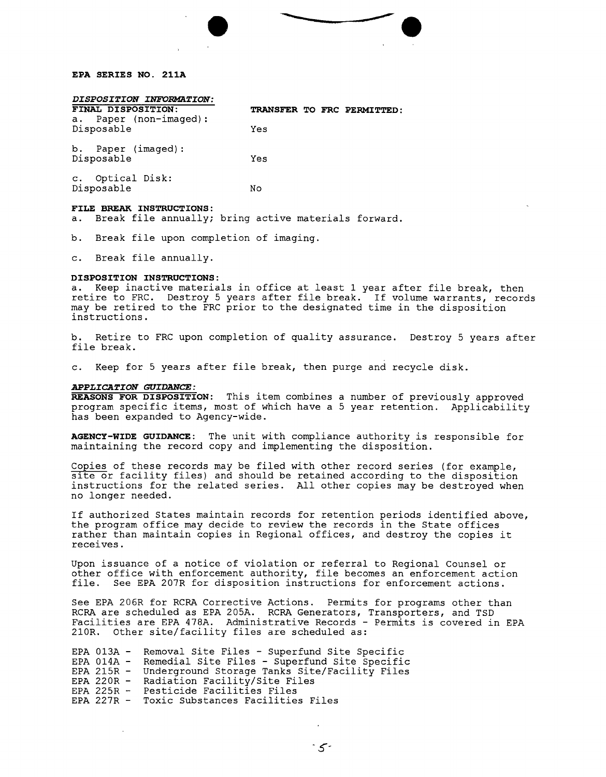

#### **EPA SERIES NO. 211A**

#### $DISPOSITION$  *INFORMATION*:

| FINAL DISPOSITION:<br>Paper (non-imaged):<br>а. | TRANSFER TO FRC PERMITTED: |
|-------------------------------------------------|----------------------------|
| Disposable                                      | Yes                        |
| b. Paper (imaged):<br>Disposable                | Yes                        |
| c. Optical Disk:<br>Disposable                  | No                         |
| <b>BREAK INSTRUCTIONS:</b><br>FILE              |                            |

a. Break file annually; bring active materials forward.

b. Break file upon completion of imaging.

c. Break file annually.

#### **DISPOSITION INSTRUCTIONS:**

a. Keep inactive materials in office at least 1 year after file break, then retire to FRC. Destroy 5 years after file break. If volume warrants, records may be retired to the FRC prior to the designated time in the disposition instructions.

b. Retire to FRC upon completion of quality assurance. Destroy 5 years after file break.

c. Keep for 5 years after file break, then purge and recycle disk.

#### *APPLICATION GUIDANCE:*

**REASONS FOR DISPOSITION:** This item combines a number of previously approved program specific items, most of which have a 5 year retention. Applicability has been expanded to Agency-wide.

**AGENCY-WIDE GUIDANCE:** The unit with compliance authority is responsible for maintaining the record copy and implementing the disposition.

Copies of these records may be filed with other record series (for example, site or facility files) and should be retained according to the disposition instructions for the related series. All other copies may be destroyed when no longer needed.

If authorized States maintain records for retention periods identified above, the program office may decide to review the records in the State offices rather than maintain copies in Regional offices, and destroy the copies it receives.

Upon issuance of a notice of violation or referral to Regional Counselor other office with enforcement authority, file becomes an enforcement action file. See EPA 207R for disposition instructions for enforcement actions.

See EPA 206R for RCRA Corrective Actions. Permits for programs other than RCRA are scheduled as EPA 205A. RCRA Generators, Transporters, and TSD Facilities are EPA 478A. Administrative Records - Permits is covered in EPA 210R. Other site/facility files are scheduled as:

EPA 013A - Removal Site Files - Superfund Site Specific<br>EPA 014A - Remedial Site Files - Superfund Site Specifi EPA 014A - Remedial Site Files - Superfund Site Specific<br>EPA 215R - Underground Storage Tanks Site/Facility Files EPA 215R - Underground Storage Tanks Site/Facility Files EPA 220R - Radiation Facility/Site Files EPA 225R - Pesticide Facilities Files<br>EPA 227R - Toxic Substances Facilitie Toxic Substances Facilities Files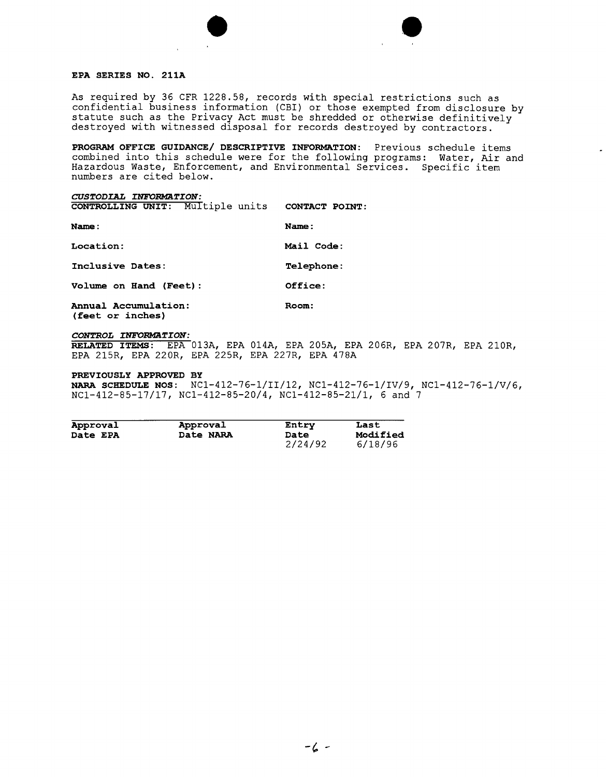



As required by 36 CFR 1228.58, records with special restrictions such as confidential business information (CBI) or those exempted from disclosure by statute such as the Privacy Act must be shredded or otherwise definitively destroyed with witnessed disposal for records destroyed by contractors.

**PROGRAM OFFICE GUIDANCE/ DESCRIPTIVE INFORMATION:** Previous schedule items combined into this schedule were for the following programs: Water, Air and Hazardous Waste, Enforcement, and Environmental Services. Specific item numbers are cited below.

#### *CUSTODIAL INFORMATION:*

**CONTROLLING UNIT:** Multiple units **CONTACT POINT:**

| Name:                  | Name:             |
|------------------------|-------------------|
| Location:              | Mail Code:        |
| Inclusive Dates:       | <b>Telephone:</b> |
| Volume on Hand (Feet): | Office:           |
| Annual Accumulation:   | Room:             |

**(feet or inches)**

# *CONTROL INFORMATION:*

**RELATED ITEMS:** EPA 013A, EPA 014A, EPA 205A, EPA 206R, EPA 207R, EPA 210R, EPA 215R, EPA 220R, EPA 225R, EPA 227R, EPA 478A

#### **PREVIOUSLY APPROVED BY**

**NARA SCHEDULE NOS:** NCl-412-76-1/II/12, NCl-412-76-1/IV/9, NCl-412-76-1/V/6, NCl-412-85-17/17, NCl-412-85-20/4, NCl-412-85-21/1, 6 and 7

| Approval        | Approval  | Entry                  | Last                |
|-----------------|-----------|------------------------|---------------------|
| <b>Date EPA</b> | Date NARA | <b>Date</b><br>2/24/92 | Modified<br>6/18/96 |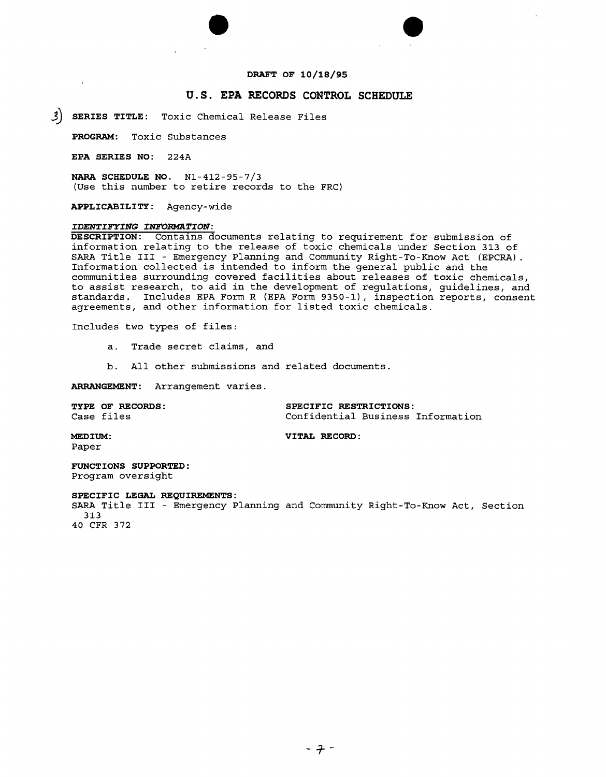



### DRAFT OF 10/18/95

# u.s. EPA RECORDS CONTROL SCHEDULE

j) SERIES TITLE: Toxic Chemical Release Files

PROGRAM: Toxic Substances

EPA SERIES NO: 224A

NARA SCHEDULE NO. Nl-412-95-7/3 (Use this number to retire records to the FRC)

APPLICABILITY: Agency-wide

#### *IDENTIFYING INFORMATION:*

DESCRIPTION: Contains documents relating to requirement for submission of information relating to the release of toxic chemicals under Section 313 of SARA Title III - Emergency Planning and Community Right-To-Know Act (EPCRA). Information collected is intended to inform the general public and the communities surrounding covered facilities about releases of toxic chemicals, to assist research, to aid in the development of regulations, guidelines, and standards. Includes EPA Form R (EPA Form 9350-1), inspection reports, consent agreements, and other information for listed toxic chemicals.

Includes two types of files:

- a. Trade secret claims, and
- b. All other submissions and related documents.

ARRANGEMENT: Arrangement varies.

| <b>TYPE OF RECORDS:</b> | SPECIFIC RESTRICTIONS:            |  |  |
|-------------------------|-----------------------------------|--|--|
| Case files              | Confidential Business Information |  |  |

MEDIUM: VITAL RECORD:

Paper

FUNCTIONS SUPPORTED: Program oversight

#### SPECIFIC LEGAL REQUIREMENTS:

SARA Title III - Emergency Planning and Community Right-To-Know Act, Section 313

40 CFR 372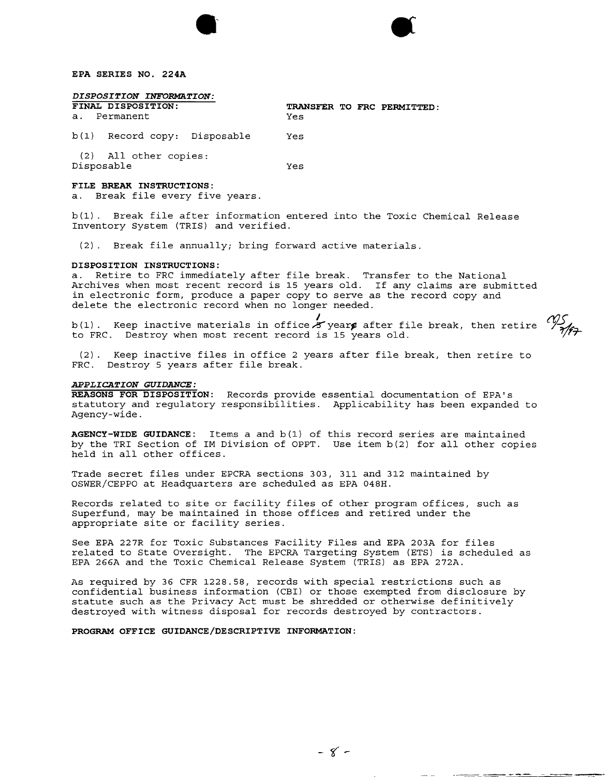#### **EPA SERIES NO. 224A**

### *DISPOSITION INFORMATION:*

|            | FINAL DISPOSITION:<br>a. Permanent | Yes |  | TRANSFER TO FRC PERMITTED: |
|------------|------------------------------------|-----|--|----------------------------|
|            | b(1) Record copy: Disposable       | Yes |  |                            |
| Disposable | (2) All other copies:              | Yes |  |                            |

#### **FILE BREAK INSTRUCTIONS:**

a. Break file every five years.

b(l). Break file after information entered into the Toxic Chemical Release Inventory System (TRIS) and verified.

(2). Break file annually; bring forward active materials.

#### **DISPOSITION INSTRUCTIONS:**

a. Retire to FRC immediately after file break. Transfer to the National Archives when most recent record is 15 years old. If any claims are submitte in electronic form, produce a paper copy to serve as the record copy and delete the electronic record when no longer needed.

b(1). Keep inactive materials in office  $\overline{\mathcal{S}}$  years after file break, then retire  $\mathscr{V}_{\mathscr{S}}$ to FRC. Destroy when most recent record is 15 years old.

(2) . Keep inactive files in office 2 years after file break, then retire to FRC. Destroy 5 years after file break.

#### *APPLICATION GUIDANCE:*

**REASONS FOR DISPOSITION:** Records provide essential documentation of EPA's statutory and regulatory responsibilities. Applicability has been expanded to Agency-wide.

**AGENCY-WIDE GUIDANCE:** Items a and b(l) of this record series are maintained by the TRI Section of 1M Division of OPPT. Use item b(2) for all other copies held in all other offices.

Trade secret files under EPCRA sections 303, 311 and 312 maintained by OSWER/CEPPO at Headquarters are scheduled as EPA 048H.

Records related to site or facility files of other program offices, such as Superfund, may be maintained in those offices and retired under the appropriate site or facility series.

See EPA 227R for Toxic Substances Facility Files and EPA 203A for files related to State Oversight. The EPCRA Targeting System (ETS) is scheduled as EPA 266A and the Toxic Chemical Release System (TRIS) as EPA 272A.

As required by 36 CFR 1228.58, records with special restrictions such as confidential business information (CBI) or those exempted from disclosure by statute such as the Privacy Act must be shredded or otherwise definitively destroyed with witness disposal for records destroyed by contractors.

**PROGRAM OFFICE GUIDANCE/DESCRIPTIVE INFORMATION:**

----- **-**

-~- --**----- ------**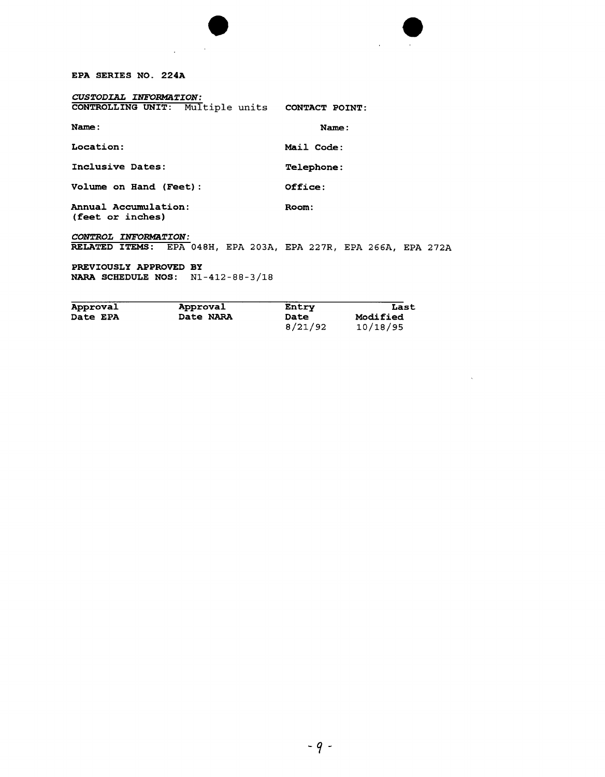# EPA SERIES NO. 224A

| CUSTODIAL INFORMATION:<br>CONTROLLING UNIT: Multiple units CONTACT POINT:               |                   |
|-----------------------------------------------------------------------------------------|-------------------|
| Name:                                                                                   | Name:             |
| Location:                                                                               | Mail Code:        |
| Inclusive Dates:                                                                        | <b>Telephone:</b> |
| Volume on Hand (Feet):                                                                  | Office:           |
| Annual Accumulation:<br>(feet or inches)                                                | Room:             |
| CONTROL INFORMATION:<br>RELATED ITEMS: EPA 048H, EPA 203A, EPA 227R, EPA 266A, EPA 272P |                   |
| PREVIOUSLY APPROVED BY<br><b>NARA SCHEDULE NOS:</b> $N1-412-88-3/18$                    |                   |

 $\bullet$ 

 $\hat{\mathbf{r}}$  ,  $\hat{\mathbf{r}}$  ,  $\hat{\mathbf{r}}$ 

| Approval        | Approval  | Entry   | Last     |
|-----------------|-----------|---------|----------|
| <b>Date EPA</b> | Date NARA | Date    | Modified |
|                 |           | 8/21/92 | 10/18/95 |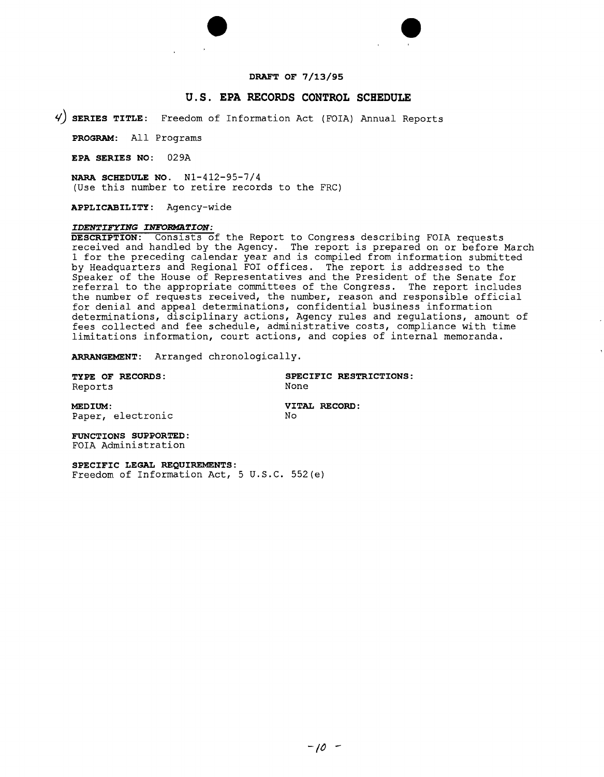



### **DRAFT OF 7/13/95**

### **U.S. EPA RECORDS CONTROL SCHEDULE**

**~) SERIES TITLE:** Freedom of Information Act (FOIA) Annual Reports

**PROGRAM:** All Programs

**EPA SERIES NO:** 029A

**NARA SCHEDULE NO.** Nl-412-95-7/4 (Use this number to retire records to the FRC)

**APPLICABILITY:** Agency-wide

#### *IDENTIFYING INFORMATION:*

**DESCRIPTION:** Conslsts of the Report to Congress describing FOIA requests received and handled by the Agency. The report is prepared on or before March 1 for the preceding calendar year and is compiled from information submitted by Headquarters and Regional FOI offices. The report is addressed to the Speaker of the House of Representatives and the President of the Senate for referral to the appropriate committees of the Congress. The report includes the number of requests received, the number, reason and responsible official for denial and appeal determinations, confidential business informatio determinations, disciplinary actions, Agency rules and regulations, amount of fees collected and fee schedule, administrative costs, compliance with time limitations information, court actions, and copies of internal memoranda.

**ARRANGEMENT:** Arranged chronologically.

Reports

**TYPE OF RECORDS: SPECIFIC RESTRICTIONS:**

**MEDIUM: VITAL RECORD:** Paper, electronic

**FUNCTIONS SUPPORTED:** FOIA Administration

**SPECIFIC LEGAL REQUIREMENTS:**

Freedom of Information Act,  $5 \text{ U.S.C. } 552\text{ (e)}$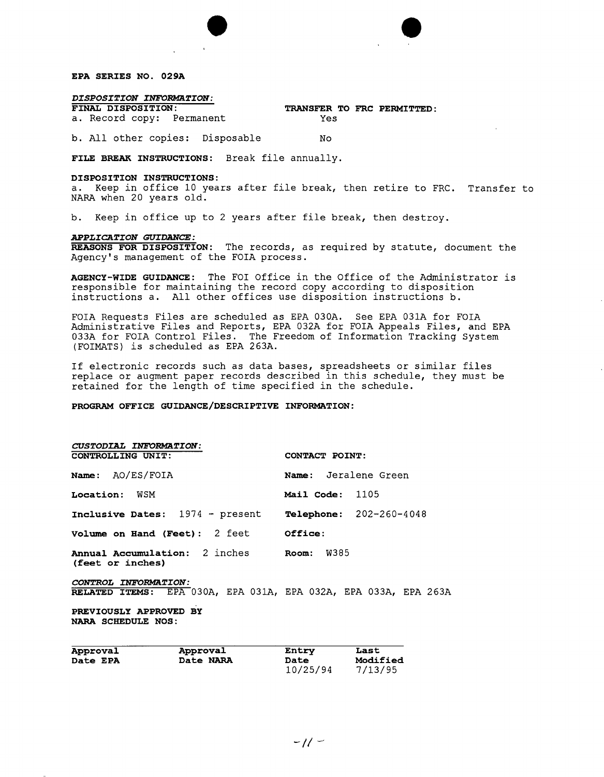

# *DISPOSITION INFORMATION:*

a. Record copy: Permanent Yes

**FINAL DISPOSITION: TRANSFER TO FRC PERMITTED:**

b. All other copies: Disposable No

**FILE BREAK INSTRUCTIONS:** Break file annually.

#### **DISPOSITION INSTRUCTIONS:**

a. Keep in office 10 years after file break, then retire to FRC. Transfer to NARA when 20 years old.

 $\bullet$ 

b. Keep in office up to 2 years after file break, then destroy.

#### *APPLICATION GUIDANCE:*

**REASONS FOR DISPOSITION:** The records, as required by statute, document the Agency's management of the FOIA process.

**AGENCY-WIDE GUIDANCE:** The FOI Office in the Office of the Administrator is responsible for maintaining the record copy according to disposition instructions a. All other offices use disposition instructions b.

FOIA Requests Files are scheduled as EPA 030A. See EPA 031A for FOIA Administrative Files and Reports, EPA 032A for FOIA Appeals Files, and EPA 033A for FOIA Control Files. The Freedom of Information Tracking System (FOIMATS) is scheduled as EPA 263A.

If electronic records such as data bases, spreadsheets or similar files replace or augment paper records described in this schedule, they must be retained for the length of time specified in the schedule.

#### **PROGRAM OFFICE GUIDANCE/DESCRIPTIVE INFORMATION:**

| Approval                                            | Approval                                                        | Entry                | Last |
|-----------------------------------------------------|-----------------------------------------------------------------|----------------------|------|
| PREVIOUSLY APPROVED BY<br><b>NARA SCHEDULE NOS:</b> |                                                                 |                      |      |
| CONTROL INFORMATION:                                | RELATED ITEMS: EPA 030A, EPA 031A, EPA 032A, EPA 033A, EPA 263A |                      |      |
| (feet or inches)                                    | Annual Accumulation: 2 inches                                   | Room: W385           |      |
|                                                     | Volume on Hand (Feet): 2 feet Office:                           |                      |      |
|                                                     | Inclusive Dates: 1974 - present Telephone: 202-260-4048         |                      |      |
| <b>Location:</b> WSM                                |                                                                 | Mail Code: 1105      |      |
| <b>Name:</b> AO/ES/FOIA                             |                                                                 | Name: Jeralene Green |      |
| CONTROLLING UNIT:                                   |                                                                 | CONTACT POINT:       |      |
| CUSTODIAL INFORMATION:                              |                                                                 |                      |      |

| Approval        | Approval  | Entry    | Last     |
|-----------------|-----------|----------|----------|
| <b>Date EPA</b> | Date NARA | Date     | Modified |
|                 |           | 10/25/94 | 7/13/95  |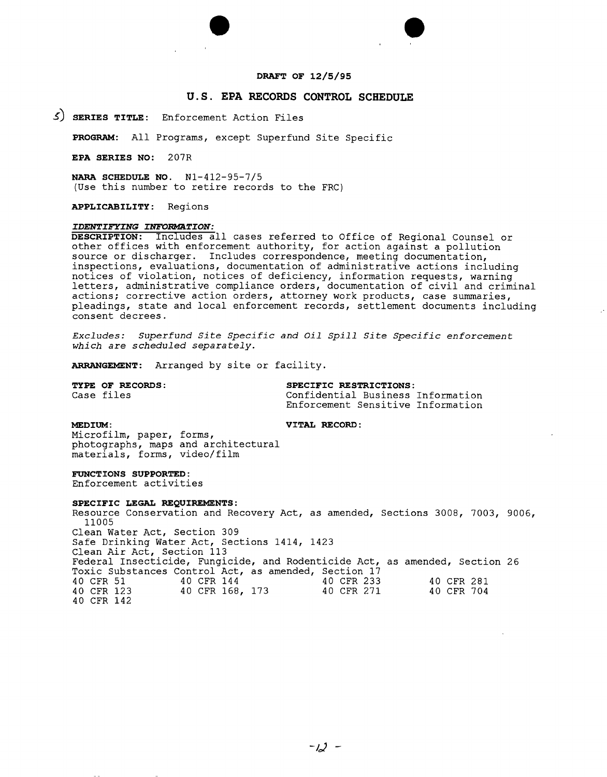

# **U.S. EPA RECORDS CONTROL SCHEDULE**

3) **SERIES TITLE:** Enforcement Action Files

**PROGRAM:** All Programs, except Superfund Site Specific

**EPA SERIES NO:** 207R

**NARA SCHEDULE NO.** N1-412-95-7/5 (Use this number to retire records to the FRC)

**APPLICABILITY:** Regions

#### *IDENTIFYING INFORMATION:*

**DESCRIPTION:** Includes all cases referred to Office of Regional Counselor other offices with enforcement authority, for action against a pollution source or discharger. Includes correspondence, meeting documentation, inspections, evaluations, documentation of administrative actions including notices of violation, notices of deficiency, information requests, warning letters, administrative compliance orders, documentation of civil and criminal actions; corrective action orders, attorney work products, case summaries, pleadings, state and local enforcement records, settlement documents includin $\epsilon$ consent decrees.

*Excludes: Superfund site Specific and oil spill site Specific enforcement which are scheduled separately.*

**ARRANGEMENT:** Arranged by site or facility.

**TYPE OF RECORDS:**<br>
Case files<br>
Confidential Business Case files Confidential Business Information Enforcement Sensitive Information

**MEDIUM: VITAL RECORD:** 

Microfilm, paper, forms, photographs, maps and architectural materials, forms, video/film

**FUNCTIONS SUPPORTED:**

Enforcement activities

# **SPECIFIC LEGAL REQUIREMENTS:**

Resource Conservation and Recovery Act, as amended, Sections 3008, 7003, 9006, 11005 Clean Water Act, Section 309 Safe Drinking Water Act, Sections 1414, 1423 Clean Air Act, Section 113 Federal Insecticide, Fungicide, and Rodenticide Act, as amended, Section 26 Toxic Substances Control Act, as amended, Section 17 40 CFR 51 40 CFR 144 40 CFR 233 40 CFR 281 40 CFR 168, 173 40 CFR 142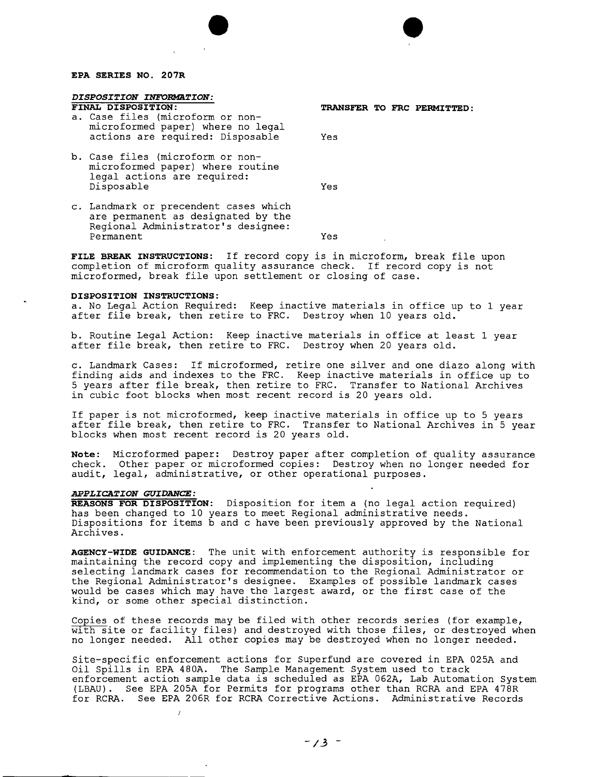#### **EPA SERIES NO. 207R**

# *DISPOSITION INFORMATION:*<br>FINAL DISPOSITION:

- a. Case files (microform or nonmicro formed paper) where no legal actions are required: Disposable Yes
- b. Case files (microform or nonmicro formed paper) where routine legal actions are required: Disposable Yes

**FINAL DISPOSITION: TRANSFER TO FRC PERMITTED:**

 $\bullet$ 

c. Landmark or precendent cases which are permanent as designated by the Regional Administrator's designee: Permanent Yes

**FILE BREAK INSTRUCTIONS:** If record copy is in microform, break file upon completion of microform quality assurance check. If record copy is not microformed, break file upon settlement or closing of case.

#### **DISPOSITION INSTRUCTIONS:**

a. No Legal Action Required: Keep inactive materials in office up to 1 year after file break, then retire to FRC. Destroy when 10 years old.

b. Routine Legal Action: Keep inactive materials in office at least 1 year after file break, then retire to FRC. Destroy when 20 years old.

c. Landmark Cases: If microformed, retire one silver and one diazo along with finding aids and indexes to the FRC. Keep inactive materials in office up to 5 years after file break, then retire to FRC. Transfer to National Archives in cubic foot blocks when most recent record is 20 years old.

If paper is not microformed, keep inactive materials in office up to 5 years after file break, then retire to FRC. Transfer to National Archives in 5 year blocks when most recent record is 20 years old.

**Note:** Microformed paper: Destroy paper after completion of quality assurance check. Other paper or microformed copies: Destroy when no longer needed for audit, legal, administrative, or other operational purposes.

#### *APPLICATION GUIDANCE:*

**REASONS FOR DISPOSITION:** Disposition for item a (no legal action required) has been changed to 10 years to meet Regional administrative needs. Dispositions for items b and c have been previously approved by the Nationa Archives.

**AGENCY-WIDE GUIDANCE:** The unit with enforcement authority is responsible for maintaining the record copy and implementing the disposition, including selecting landmark cases for recommendation to the Regional Administrator or the Regional Administrator's designee. Examples of possible landmark cases would be cases which may have the largest award, or the first case of the kind, or some other special distinction.

Copies of these records may be filed with other records series (for example, with site or facility files) and destroyed with those files, or destroyed when no longer needed. All other copies may be destroyed when no longer needed.

Site-specific enforcement actions for Superfund are covered in EPA 025A and Oil Spills in EPA 480A. The Sample Management System used to track enforcement actioh sample data is scheduled as EPA 062A, Lab Automation System (LBAU). See EPA 205A for Permits for programs other than RCRA and EPA 478R for RCRA. See EPA 206R for RCRA Corrective Actions. Administrative Records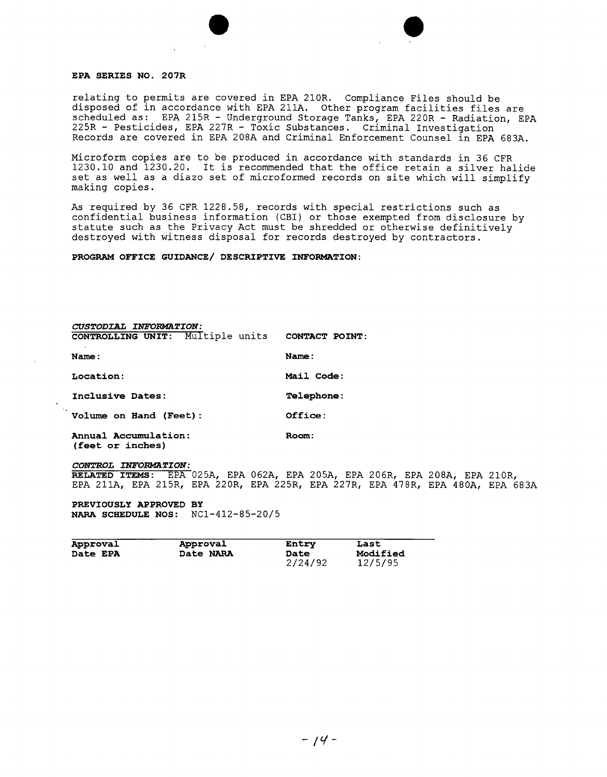#### **EPA SERIES NO. 207R**

relating to permits are covered in EPA 210R. Compliance Files should be disposed of in accordance with EPA 211A. Other program facilities files are scheduled as: EPA 215R - Underground Storage Tanks, EPA 220R - Radiation, EPA 225R - Pesticides, EPA 227R - Toxic Substances. Criminal Investigation Records are covered in EPA 208A and Criminal Enforcement Counsel in EPA 683A.

 $\bullet$ 

Microform copies are to be produced in accordance with standards in 36 CFR 1230.10 and 1230.20. It is recommended that the office retain a silver halide set as well as a diazo set of microformed records on site which will simplify making copies.

As required by 36 CFR 1228.58, records with special restrictions such as confidential business information (CBI) or those exempted from disclosure by statute such as the Privacy Act must be shredded or otherwise definitively destroyed with witness disposal for records destroyed by contractors.

**PROGRAM OFFICE GUIDANCE/ DESCRIPTIVE INFORMATION:**

*CUSTODIAL INFORMATION:* **CONTROLLING UNIT:** Multiple units **CONTACT POINT:**

**Name: Name:**

**Location: Mail Code:**

**Inclusive Dates: Telephone:**

**Volume on Hand (Feet): Office:**

**Annual Accumulation: Room: (feet or inches)**

*CONToROL INFORMATION:*

**RELATED ITEMS:** EPA 025A, EPA 062A, EPA 205A, EPA 206R, EPA 208A, EPA 210R, EPA 211A, EPA 215R, EPA 220R, EPA 225R, EPA 227R, EPA 478R, EPA 480A, EPA 683A

**PREVIOUSLY APPROVED BY NARA SCHEDULE NOS:** NCl-412-85-20/5

| Approval        | Approval  | Entry       | Last     |
|-----------------|-----------|-------------|----------|
| <b>Date EPA</b> | Date NARA | <b>Date</b> | Modified |
|                 |           | 2/24/92     | 12/5/95  |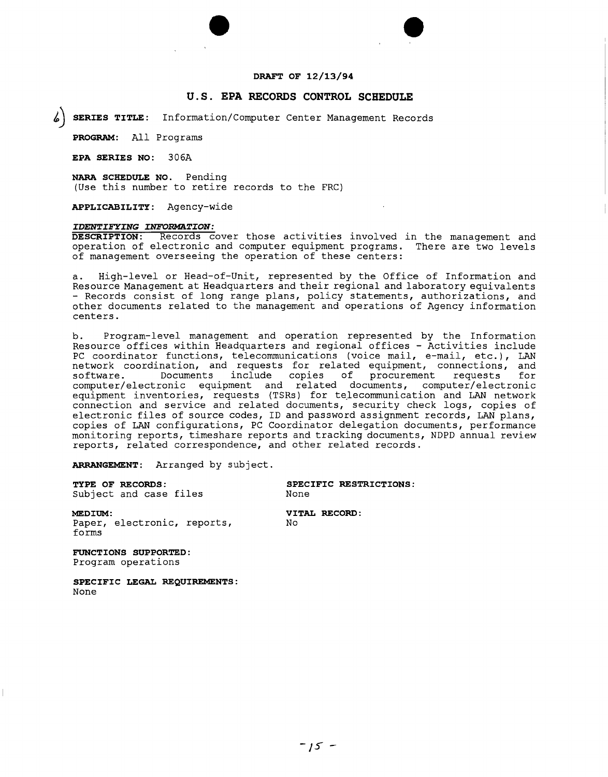

 $\bullet$ 

#### **u.s. EPA RECORDS CONTROL SCHEDULE**

**,) SERIES TITLE:** Information/Computer Center Management Records

**PROGRAM:** All Programs

**EPA SERIES NO:** 306A

**NARA SCHEDULE NO.** Pending (Use this number to retire records to the FRC)

**APPLICABILITY:** Agency-wide

#### *IDENTIFYING INFORMATION:*

**DESCRIPTION:** Records cover those activities involved in the management and operation of electronic and computer equipment programs. There are two levels operation of electronic and computer equipment programs. of management overseeing the operation of these centers:

a. High-level or Head-of-Unit, represented by the Office of Information and Resource Management at Headquarters and their regional and laboratory equivalents - Records consist of long range plans, policy statements, authorizations, and other documents related to the management and operations of Agency information centers.

b. Program-level management and operation represented by the Information Resource offices within Headquarters and regional offices - Activities include PC coordinator functions, telecommunications (voice mail, e-mail, etc.), LAN network coordination, and requests for related equipment, connections, and<br>software. Documents include copies of procurement requests for software. Documents include copies of procurement requests for computer/electronic equipment and related documents, computer/electroni<br>equipment inventories, requests (TSRs) for telecommunication and LAN networ connection and service and related documents, security check logs, copies of electronic files of source codes, ID and password assignment records, LAN plans, copies of LAN configurations, PC Coordinator delegation documents, performanc monitoring reports, timeshare reports and tracking documents, NDPD annual review reports, related correspondence, and other related records.

**ARRANGEMENT:** Arranged by subject.

Subject and case files

**TYPE OF RECORDS: SPECIFIC RESTRICTIONS:**

Paper, electronic, reports, No forms

**MEDIUM: VITAL RECORD:**

**FUNCTIONS SUPPORTED:** Program operations

**SPECIFIC LEGAL REQUIREMENTS:** None